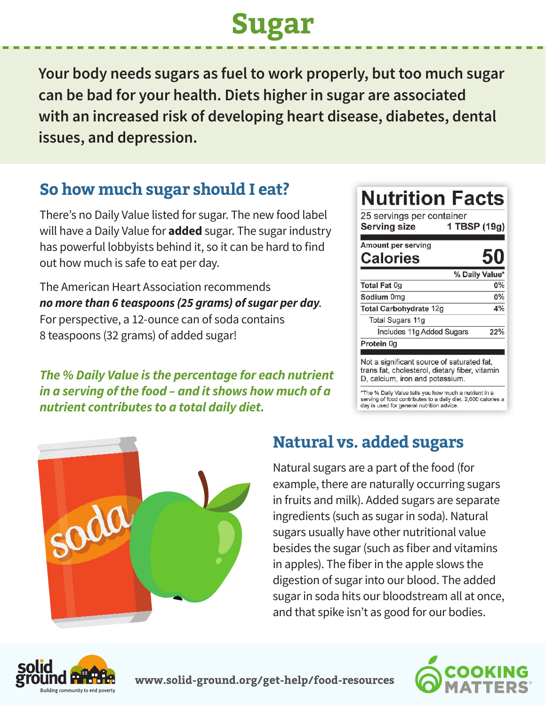# **Sugar**

**Your body needs sugars as fuel to work properly, but too much sugar can be bad for your health. Diets higher in sugar are associated with an increased risk of developing heart disease, diabetes, dental issues, and depression.**

### **So how much sugar should I eat?**

There's no Daily Value listed for sugar. The new food label will have a Daily Value for **added** sugar. The sugar industry has powerful lobbyists behind it, so it can be hard to find out how much is safe to eat per day.

The American Heart Association recommends *no more than 6 teaspoons (25 grams) of sugar per day*. For perspective, a 12-ounce can of soda contains 8 teaspoons (32 grams) of added sugar!

*The % Daily Value is the percentage for each nutrient in a serving of the food – and it shows how much of a nutrient contributes to a total daily diet.*

| 25 servings per container<br>1 TBSP (19g)<br><b>Serving size</b>                                                                |                |
|---------------------------------------------------------------------------------------------------------------------------------|----------------|
| Amount per serving<br><b>Calories</b>                                                                                           | 50             |
|                                                                                                                                 | % Daily Value* |
| Total Fat 0g                                                                                                                    | $0\%$          |
| Sodium 0mg                                                                                                                      | $0\%$          |
| Total Carbohydrate 12g                                                                                                          | 4%             |
| Total Sugars 11g                                                                                                                |                |
| Includes 11g Added Sugars                                                                                                       | 22%            |
| Protein 0g                                                                                                                      |                |
| Not a significant source of saturated fat,<br>trans fat, cholesterol, dietary fiber, vitamin<br>D, calcium, iron and potassium. |                |

% Daily Value tells you how much a nutrient in a serving of food contributes to a daily diet. 2,000 calories a day is used for general nutrition advice.



#### **Natural vs. added sugars**

Natural sugars are a part of the food (for example, there are naturally occurring sugars in fruits and milk). Added sugars are separate ingredients (such as sugar in soda). Natural sugars usually have other nutritional value besides the sugar (such as fiber and vitamins in apples). The fiber in the apple slows the digestion of sugar into our blood. The added sugar in soda hits our bloodstream all at once, and that spike isn't as good for our bodies.



**www.solid-ground.org/get-help/food-resources**